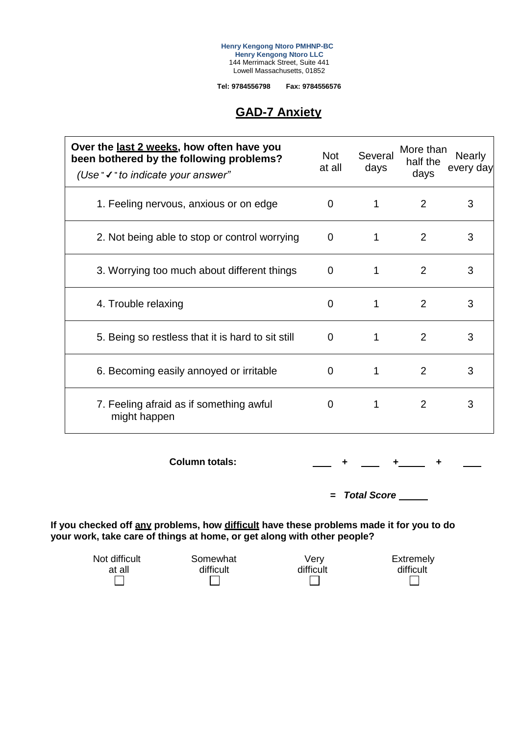**Henry Kengong Ntoro PMHNP-BC Henry Kengong Ntoro LLC** 144 Merrimack Street, Suite 441 Lowell Massachusetts, 01852

**Tel: 9784556798 Fax: 9784556576**

## **GAD-7 Anxiety**

| Over the last 2 weeks, how often have you<br>been bothered by the following problems?<br>(Use $\checkmark$ $\checkmark$ to indicate your answer" | <b>Not</b><br>at all | Several<br>days | More than<br>half the<br>days | <b>Nearly</b><br>every day |
|--------------------------------------------------------------------------------------------------------------------------------------------------|----------------------|-----------------|-------------------------------|----------------------------|
| 1. Feeling nervous, anxious or on edge                                                                                                           | 0                    | 1               | 2                             | 3                          |
| 2. Not being able to stop or control worrying                                                                                                    | 0                    | 1               | $\overline{2}$                | 3                          |
| 3. Worrying too much about different things                                                                                                      | 0                    | 1               | 2                             | 3                          |
| 4. Trouble relaxing                                                                                                                              | 0                    | 1               | 2                             | 3                          |
| 5. Being so restless that it is hard to sit still                                                                                                | 0                    | 1               | $\overline{2}$                | 3                          |
| 6. Becoming easily annoyed or irritable                                                                                                          | 0                    | 1               | 2                             | 3                          |
| 7. Feeling afraid as if something awful<br>might happen                                                                                          | 0                    | 1               | $\overline{2}$                | 3                          |

**Column totals:**  $\begin{array}{cccc} \hline \end{array}$  **+**  $\begin{array}{cccc} \hline \end{array}$  **+**  $\begin{array}{cccc} \hline \end{array}$  **+** 

*= Total Score*

**If you checked off any problems, how difficult have these problems made it for you to do your work, take care of things at home, or get along with other people?**

| Not difficult | Somewhat  | Very      | Extremely |
|---------------|-----------|-----------|-----------|
| at all        | difficult | difficult | difficult |
|               |           |           |           |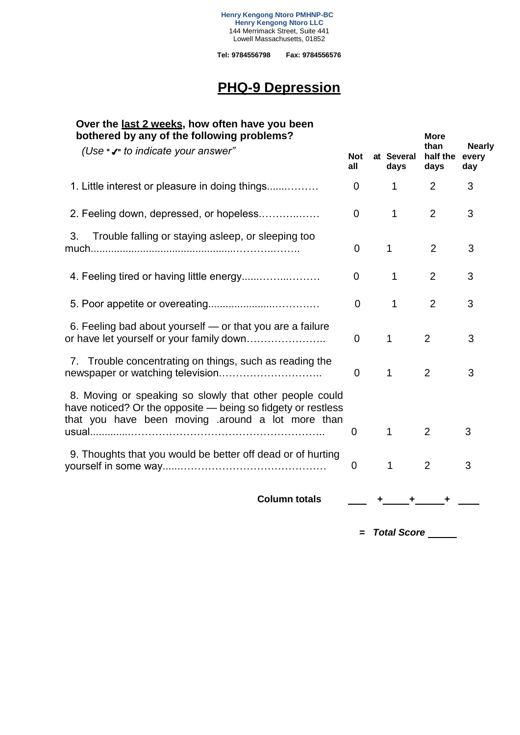**Tel: 9784556798 Fax: 9784556576**

# **PHQ-9 Depression**

| Over the <u>last 2 weeks</u> , how often have you been<br>bothered by any of the following problems?                                                                        |                   |                    | <b>More</b>                                               |   |
|-----------------------------------------------------------------------------------------------------------------------------------------------------------------------------|-------------------|--------------------|-----------------------------------------------------------|---|
| (Use "√" to indicate your answer"                                                                                                                                           | <b>Not</b><br>all | at Several<br>days | than<br><b>Nearly</b><br>half the<br>every<br>days<br>day |   |
| 1. Little interest or pleasure in doing things                                                                                                                              | 0                 | $\mathbf{1}$       | 2                                                         | 3 |
| 2. Feeling down, depressed, or hopeless                                                                                                                                     | 0                 | 1                  | $\overline{2}$                                            | 3 |
| Trouble falling or staying asleep, or sleeping too<br>3.                                                                                                                    | $\mathbf 0$       | $\mathbf{1}$       | $\overline{2}$                                            | 3 |
|                                                                                                                                                                             | 0                 | 1                  | $\overline{2}$                                            | 3 |
|                                                                                                                                                                             | $\overline{0}$    | 1                  | $\overline{2}$                                            | 3 |
| 6. Feeling bad about yourself — or that you are a failure<br>or have let yourself or your family down                                                                       | $\mathbf 0$       | $\mathbf{1}$       | $\overline{2}$                                            | 3 |
| 7. Trouble concentrating on things, such as reading the                                                                                                                     | $\mathbf 0$       | 1                  | $\overline{2}$                                            | 3 |
| 8. Moving or speaking so slowly that other people could<br>have noticed? Or the opposite - being so fidgety or restless<br>that you have been moving around a lot more than | 0                 | 1                  | $\overline{2}$                                            | 3 |
| 9. Thoughts that you would be better off dead or of hurting                                                                                                                 | $\mathbf 0$       | 1                  | $\overline{2}$                                            | 3 |
| <b>Column totals</b>                                                                                                                                                        |                   |                    |                                                           |   |

*= Total Score*